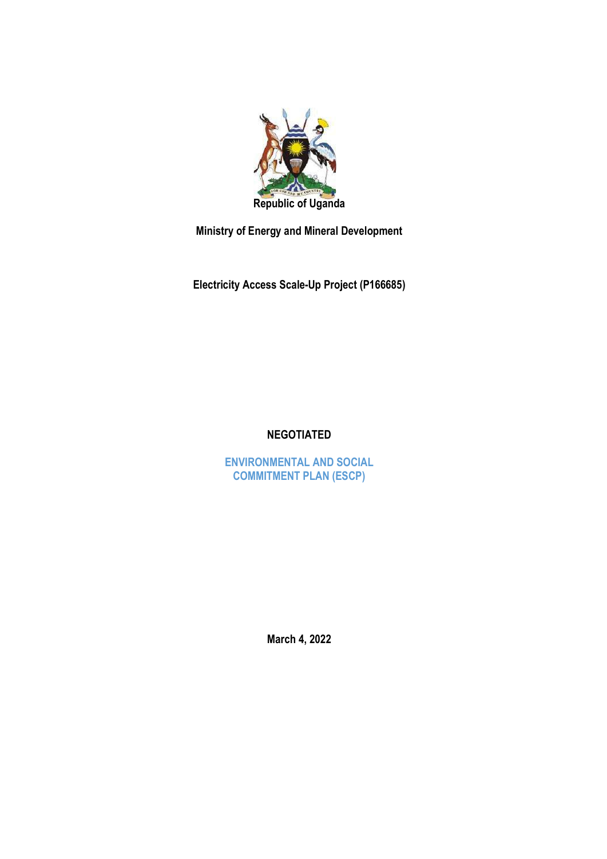

Ministry of Energy and Mineral Development

Electricity Access Scale-Up Project (P166685)

## NEGOTIATED

ENVIRONMENTAL AND SOCIAL COMMITMENT PLAN (ESCP)

March 4, 2022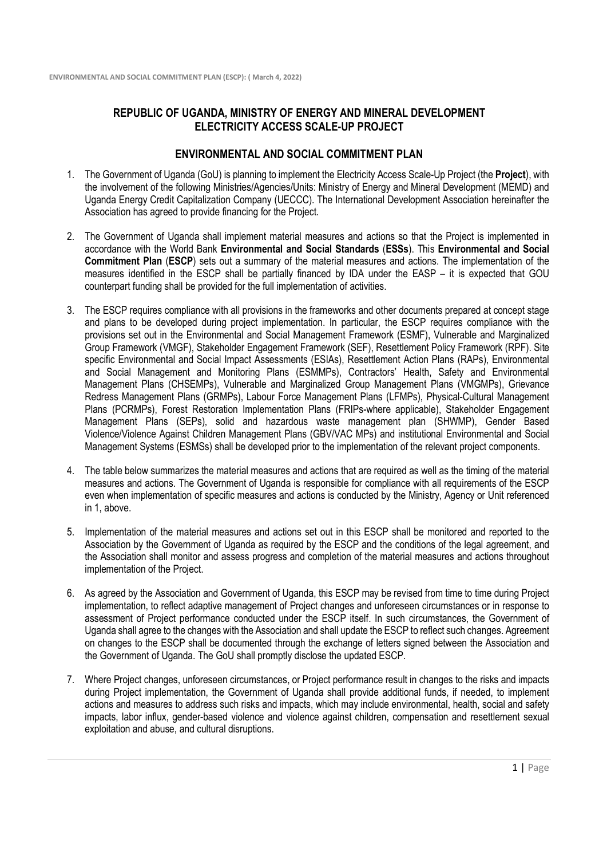## REPUBLIC OF UGANDA, MINISTRY OF ENERGY AND MINERAL DEVELOPMENT ELECTRICITY ACCESS SCALE-UP PROJECT

## ENVIRONMENTAL AND SOCIAL COMMITMENT PLAN

- 1. The Government of Uganda (GoU) is planning to implement the Electricity Access Scale-Up Project (the Project), with the involvement of the following Ministries/Agencies/Units: Ministry of Energy and Mineral Development (MEMD) and Uganda Energy Credit Capitalization Company (UECCC). The International Development Association hereinafter the Association has agreed to provide financing for the Project.
- 2. The Government of Uganda shall implement material measures and actions so that the Project is implemented in accordance with the World Bank Environmental and Social Standards (ESSs). This Environmental and Social Commitment Plan (ESCP) sets out a summary of the material measures and actions. The implementation of the measures identified in the ESCP shall be partially financed by IDA under the EASP – it is expected that GOU counterpart funding shall be provided for the full implementation of activities.
- 3. The ESCP requires compliance with all provisions in the frameworks and other documents prepared at concept stage and plans to be developed during project implementation. In particular, the ESCP requires compliance with the provisions set out in the Environmental and Social Management Framework (ESMF), Vulnerable and Marginalized Group Framework (VMGF), Stakeholder Engagement Framework (SEF), Resettlement Policy Framework (RPF). Site specific Environmental and Social Impact Assessments (ESIAs), Resettlement Action Plans (RAPs), Environmental and Social Management and Monitoring Plans (ESMMPs), Contractors' Health, Safety and Environmental Management Plans (CHSEMPs), Vulnerable and Marginalized Group Management Plans (VMGMPs), Grievance Redress Management Plans (GRMPs), Labour Force Management Plans (LFMPs), Physical-Cultural Management Plans (PCRMPs), Forest Restoration Implementation Plans (FRIPs-where applicable), Stakeholder Engagement Management Plans (SEPs), solid and hazardous waste management plan (SHWMP), Gender Based Violence/Violence Against Children Management Plans (GBV/VAC MPs) and institutional Environmental and Social Management Systems (ESMSs) shall be developed prior to the implementation of the relevant project components.
- 4. The table below summarizes the material measures and actions that are required as well as the timing of the material measures and actions. The Government of Uganda is responsible for compliance with all requirements of the ESCP even when implementation of specific measures and actions is conducted by the Ministry, Agency or Unit referenced in 1, above.
- 5. Implementation of the material measures and actions set out in this ESCP shall be monitored and reported to the Association by the Government of Uganda as required by the ESCP and the conditions of the legal agreement, and the Association shall monitor and assess progress and completion of the material measures and actions throughout implementation of the Project.
- 6. As agreed by the Association and Government of Uganda, this ESCP may be revised from time to time during Project implementation, to reflect adaptive management of Project changes and unforeseen circumstances or in response to assessment of Project performance conducted under the ESCP itself. In such circumstances, the Government of Uganda shall agree to the changes with the Association and shall update the ESCP to reflect such changes. Agreement on changes to the ESCP shall be documented through the exchange of letters signed between the Association and the Government of Uganda. The GoU shall promptly disclose the updated ESCP.
- 7. Where Project changes, unforeseen circumstances, or Project performance result in changes to the risks and impacts during Project implementation, the Government of Uganda shall provide additional funds, if needed, to implement actions and measures to address such risks and impacts, which may include environmental, health, social and safety impacts, labor influx, gender-based violence and violence against children, compensation and resettlement sexual exploitation and abuse, and cultural disruptions.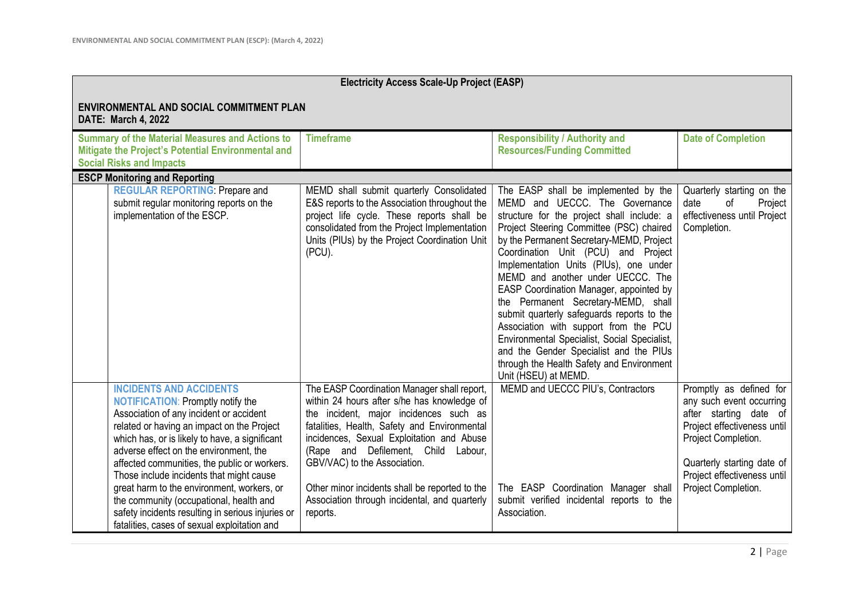| <b>Electricity Access Scale-Up Project (EASP)</b>                                                                                                                                                                                                                                                                                                                                                                                                                                                                                                         |                                                                                                                                                                                                                                                                                                                                                                                                                         |                                                                                                                                                                                                                                                                                                                                                                                                                                                                                                                                                                                                                                                                            |                                                                                                                                                                                                                         |  |
|-----------------------------------------------------------------------------------------------------------------------------------------------------------------------------------------------------------------------------------------------------------------------------------------------------------------------------------------------------------------------------------------------------------------------------------------------------------------------------------------------------------------------------------------------------------|-------------------------------------------------------------------------------------------------------------------------------------------------------------------------------------------------------------------------------------------------------------------------------------------------------------------------------------------------------------------------------------------------------------------------|----------------------------------------------------------------------------------------------------------------------------------------------------------------------------------------------------------------------------------------------------------------------------------------------------------------------------------------------------------------------------------------------------------------------------------------------------------------------------------------------------------------------------------------------------------------------------------------------------------------------------------------------------------------------------|-------------------------------------------------------------------------------------------------------------------------------------------------------------------------------------------------------------------------|--|
| <b>ENVIRONMENTAL AND SOCIAL COMMITMENT PLAN</b><br><b>DATE: March 4, 2022</b>                                                                                                                                                                                                                                                                                                                                                                                                                                                                             |                                                                                                                                                                                                                                                                                                                                                                                                                         |                                                                                                                                                                                                                                                                                                                                                                                                                                                                                                                                                                                                                                                                            |                                                                                                                                                                                                                         |  |
| <b>Summary of the Material Measures and Actions to</b><br>Mitigate the Project's Potential Environmental and<br><b>Social Risks and Impacts</b>                                                                                                                                                                                                                                                                                                                                                                                                           | <b>Timeframe</b>                                                                                                                                                                                                                                                                                                                                                                                                        | <b>Responsibility / Authority and</b><br><b>Resources/Funding Committed</b>                                                                                                                                                                                                                                                                                                                                                                                                                                                                                                                                                                                                | <b>Date of Completion</b>                                                                                                                                                                                               |  |
| <b>ESCP Monitoring and Reporting</b>                                                                                                                                                                                                                                                                                                                                                                                                                                                                                                                      |                                                                                                                                                                                                                                                                                                                                                                                                                         |                                                                                                                                                                                                                                                                                                                                                                                                                                                                                                                                                                                                                                                                            |                                                                                                                                                                                                                         |  |
| <b>REGULAR REPORTING: Prepare and</b><br>submit regular monitoring reports on the<br>implementation of the ESCP.                                                                                                                                                                                                                                                                                                                                                                                                                                          | MEMD shall submit quarterly Consolidated<br>E&S reports to the Association throughout the<br>project life cycle. These reports shall be<br>consolidated from the Project Implementation<br>Units (PIUs) by the Project Coordination Unit<br>(PCU).                                                                                                                                                                      | The EASP shall be implemented by the<br>MEMD and UECCC. The Governance<br>structure for the project shall include: a<br>Project Steering Committee (PSC) chaired<br>by the Permanent Secretary-MEMD, Project<br>Coordination Unit (PCU) and Project<br>Implementation Units (PIUs), one under<br>MEMD and another under UECCC. The<br>EASP Coordination Manager, appointed by<br>the Permanent Secretary-MEMD, shall<br>submit quarterly safeguards reports to the<br>Association with support from the PCU<br>Environmental Specialist, Social Specialist,<br>and the Gender Specialist and the PIUs<br>through the Health Safety and Environment<br>Unit (HSEU) at MEMD. | Quarterly starting on the<br>date<br>of<br>Project<br>effectiveness until Project<br>Completion.                                                                                                                        |  |
| <b>INCIDENTS AND ACCIDENTS</b><br><b>NOTIFICATION: Promptly notify the</b><br>Association of any incident or accident<br>related or having an impact on the Project<br>which has, or is likely to have, a significant<br>adverse effect on the environment, the<br>affected communities, the public or workers.<br>Those include incidents that might cause<br>great harm to the environment, workers, or<br>the community (occupational, health and<br>safety incidents resulting in serious injuries or<br>fatalities, cases of sexual exploitation and | The EASP Coordination Manager shall report,<br>within 24 hours after s/he has knowledge of<br>the incident, major incidences such as<br>fatalities, Health, Safety and Environmental<br>incidences, Sexual Exploitation and Abuse<br>(Rape and Defilement, Child Labour,<br>GBV/VAC) to the Association.<br>Other minor incidents shall be reported to the<br>Association through incidental, and quarterly<br>reports. | MEMD and UECCC PIU's, Contractors<br>The EASP Coordination Manager shall<br>submit verified incidental reports to the<br>Association.                                                                                                                                                                                                                                                                                                                                                                                                                                                                                                                                      | Promptly as defined for<br>any such event occurring<br>after starting date of<br>Project effectiveness until<br>Project Completion.<br>Quarterly starting date of<br>Project effectiveness until<br>Project Completion. |  |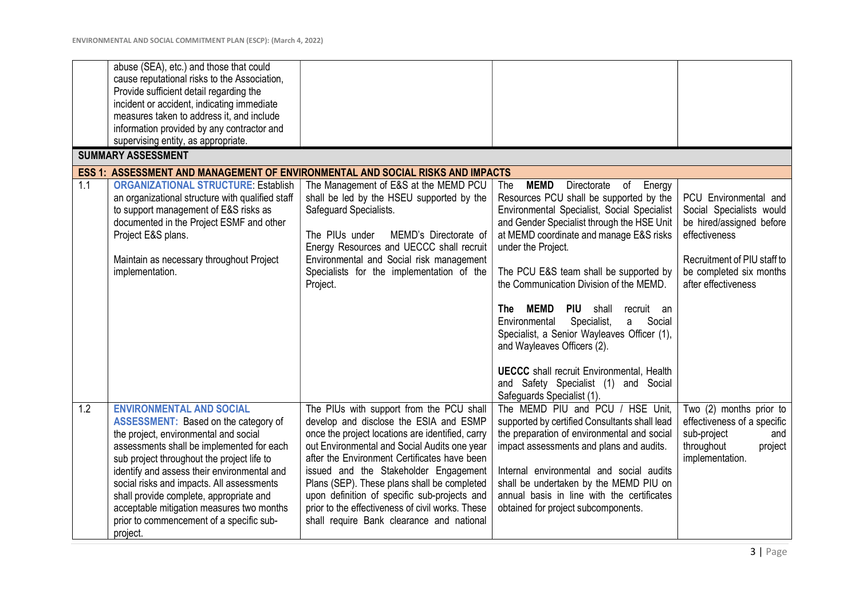|     | abuse (SEA), etc.) and those that could<br>cause reputational risks to the Association,<br>Provide sufficient detail regarding the<br>incident or accident, indicating immediate<br>measures taken to address it, and include<br>information provided by any contractor and                                                                                                                                                                                    |                                                                                                                                                                                                                                                                                                                                                                                                                                                                                 |                                                                                                                                                                                                                                                                                                                                                                                                                                                                                                                                                                                                                                   |                                                                                                                                                                                 |
|-----|----------------------------------------------------------------------------------------------------------------------------------------------------------------------------------------------------------------------------------------------------------------------------------------------------------------------------------------------------------------------------------------------------------------------------------------------------------------|---------------------------------------------------------------------------------------------------------------------------------------------------------------------------------------------------------------------------------------------------------------------------------------------------------------------------------------------------------------------------------------------------------------------------------------------------------------------------------|-----------------------------------------------------------------------------------------------------------------------------------------------------------------------------------------------------------------------------------------------------------------------------------------------------------------------------------------------------------------------------------------------------------------------------------------------------------------------------------------------------------------------------------------------------------------------------------------------------------------------------------|---------------------------------------------------------------------------------------------------------------------------------------------------------------------------------|
|     | supervising entity, as appropriate.<br><b>SUMMARY ASSESSMENT</b>                                                                                                                                                                                                                                                                                                                                                                                               |                                                                                                                                                                                                                                                                                                                                                                                                                                                                                 |                                                                                                                                                                                                                                                                                                                                                                                                                                                                                                                                                                                                                                   |                                                                                                                                                                                 |
|     | <b>ESS 1: ASSESSMENT AND MANAGEMENT OF ENVIRONMENTAL AND SOCIAL RISKS AND IMPACTS</b>                                                                                                                                                                                                                                                                                                                                                                          |                                                                                                                                                                                                                                                                                                                                                                                                                                                                                 |                                                                                                                                                                                                                                                                                                                                                                                                                                                                                                                                                                                                                                   |                                                                                                                                                                                 |
| 1.1 | <b>ORGANIZATIONAL STRUCTURE: Establish</b><br>an organizational structure with qualified staff<br>to support management of E&S risks as<br>documented in the Project ESMF and other<br>Project E&S plans.<br>Maintain as necessary throughout Project<br>implementation.                                                                                                                                                                                       | The Management of E&S at the MEMD PCU<br>shall be led by the HSEU supported by the<br>Safeguard Specialists.<br>The PIUs under<br>MEMD's Directorate of<br>Energy Resources and UECCC shall recruit<br>Environmental and Social risk management<br>Specialists for the implementation of the<br>Project.                                                                                                                                                                        | <b>MEMD</b><br>Directorate<br>The<br>of Energy<br>Resources PCU shall be supported by the<br>Environmental Specialist, Social Specialist<br>and Gender Specialist through the HSE Unit<br>at MEMD coordinate and manage E&S risks<br>under the Project.<br>The PCU E&S team shall be supported by<br>the Communication Division of the MEMD.<br><b>MEMD</b><br><b>PIU</b> shall<br><b>The</b><br>recruit an<br>Specialist,<br>a Social<br>Environmental<br>Specialist, a Senior Wayleaves Officer (1),<br>and Wayleaves Officers (2).<br><b>UECCC</b> shall recruit Environmental, Health<br>and Safety Specialist (1) and Social | PCU Environmental and<br>Social Specialists would<br>be hired/assigned before<br>effectiveness<br>Recruitment of PIU staff to<br>be completed six months<br>after effectiveness |
| 1.2 | <b>ENVIRONMENTAL AND SOCIAL</b><br><b>ASSESSMENT:</b> Based on the category of<br>the project, environmental and social<br>assessments shall be implemented for each<br>sub project throughout the project life to<br>identify and assess their environmental and<br>social risks and impacts. All assessments<br>shall provide complete, appropriate and<br>acceptable mitigation measures two months<br>prior to commencement of a specific sub-<br>project. | The PIUs with support from the PCU shall<br>develop and disclose the ESIA and ESMP<br>once the project locations are identified, carry<br>out Environmental and Social Audits one year<br>after the Environment Certificates have been<br>issued and the Stakeholder Engagement<br>Plans (SEP). These plans shall be completed<br>upon definition of specific sub-projects and<br>prior to the effectiveness of civil works. These<br>shall require Bank clearance and national | Safeguards Specialist (1).<br>The MEMD PIU and PCU / HSE Unit,<br>supported by certified Consultants shall lead<br>the preparation of environmental and social<br>impact assessments and plans and audits.<br>Internal environmental and social audits<br>shall be undertaken by the MEMD PIU on<br>annual basis in line with the certificates<br>obtained for project subcomponents.                                                                                                                                                                                                                                             | Two (2) months prior to<br>effectiveness of a specific<br>sub-project<br>and<br>throughout<br>project<br>implementation.                                                        |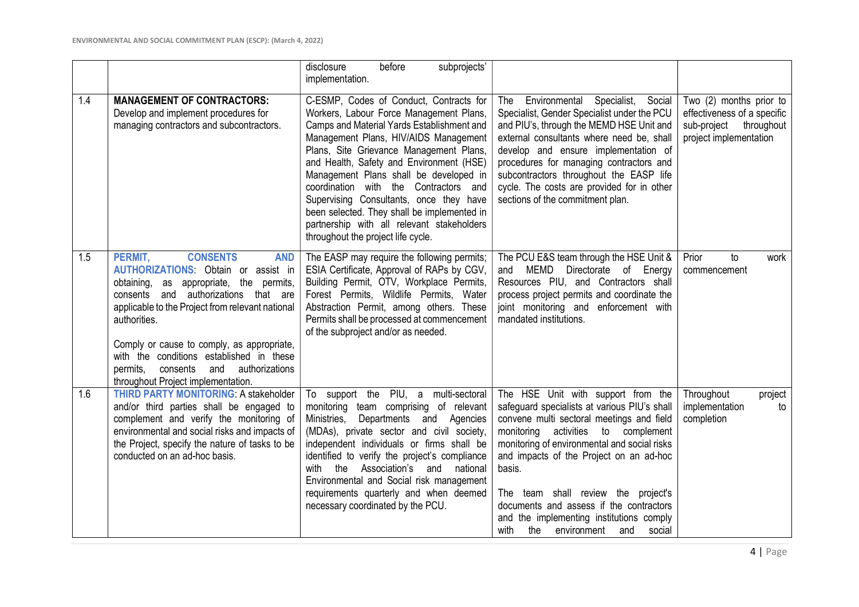|     |                                                                                                                                                                                                                                                                                                                                                                                                                                | before<br>disclosure<br>subprojects'<br>implementation.                                                                                                                                                                                                                                                                                                                                                                                                                                                                           |                                                                                                                                                                                                                                                                                                                                                                                                                                                          |                                                                                                               |
|-----|--------------------------------------------------------------------------------------------------------------------------------------------------------------------------------------------------------------------------------------------------------------------------------------------------------------------------------------------------------------------------------------------------------------------------------|-----------------------------------------------------------------------------------------------------------------------------------------------------------------------------------------------------------------------------------------------------------------------------------------------------------------------------------------------------------------------------------------------------------------------------------------------------------------------------------------------------------------------------------|----------------------------------------------------------------------------------------------------------------------------------------------------------------------------------------------------------------------------------------------------------------------------------------------------------------------------------------------------------------------------------------------------------------------------------------------------------|---------------------------------------------------------------------------------------------------------------|
| 1.4 | <b>MANAGEMENT OF CONTRACTORS:</b><br>Develop and implement procedures for<br>managing contractors and subcontractors.                                                                                                                                                                                                                                                                                                          | C-ESMP, Codes of Conduct, Contracts for<br>Workers, Labour Force Management Plans,<br>Camps and Material Yards Establishment and<br>Management Plans, HIV/AIDS Management<br>Plans, Site Grievance Management Plans,<br>and Health, Safety and Environment (HSE)<br>Management Plans shall be developed in<br>coordination with the Contractors and<br>Supervising Consultants, once they have<br>been selected. They shall be implemented in<br>partnership with all relevant stakeholders<br>throughout the project life cycle. | Environmental Specialist, Social<br>The<br>Specialist, Gender Specialist under the PCU<br>and PIU's, through the MEMD HSE Unit and<br>external consultants where need be, shall<br>develop and ensure implementation of<br>procedures for managing contractors and<br>subcontractors throughout the EASP life<br>cycle. The costs are provided for in other<br>sections of the commitment plan.                                                          | Two (2) months prior to<br>effectiveness of a specific<br>sub-project<br>throughout<br>project implementation |
| 1.5 | PERMIT,<br><b>CONSENTS</b><br><b>AND</b><br><b>AUTHORIZATIONS:</b> Obtain or assist in<br>obtaining, as appropriate, the permits,<br>consents and authorizations that are<br>applicable to the Project from relevant national<br>authorities.<br>Comply or cause to comply, as appropriate,<br>with the conditions established in these<br>authorizations<br>permits.<br>consents<br>and<br>throughout Project implementation. | The EASP may require the following permits;<br>ESIA Certificate, Approval of RAPs by CGV,<br>Building Permit, OTV, Workplace Permits,<br>Forest Permits, Wildlife Permits, Water<br>Abstraction Permit, among others. These<br>Permits shall be processed at commencement<br>of the subproject and/or as needed.                                                                                                                                                                                                                  | The PCU E&S team through the HSE Unit &<br>and MEMD Directorate of Energy<br>Resources PIU, and Contractors shall<br>process project permits and coordinate the<br>joint monitoring and enforcement with<br>mandated institutions.                                                                                                                                                                                                                       | Prior<br>to<br>work<br>commencement                                                                           |
| 1.6 | <b>THIRD PARTY MONITORING: A stakeholder</b><br>and/or third parties shall be engaged to<br>complement and verify the monitoring of<br>environmental and social risks and impacts of<br>the Project, specify the nature of tasks to be<br>conducted on an ad-hoc basis.                                                                                                                                                        | To support the PIU, a multi-sectoral<br>monitoring team comprising of relevant<br>Ministries,<br>Departments and Agencies<br>(MDAs), private sector and civil society,<br>independent individuals or firms shall be<br>identified to verify the project's compliance<br>with the<br>Association's and national<br>Environmental and Social risk management<br>requirements quarterly and when deemed<br>necessary coordinated by the PCU.                                                                                         | The HSE Unit with support from the<br>safeguard specialists at various PIU's shall<br>convene multi sectoral meetings and field<br>monitoring activities to complement<br>monitoring of environmental and social risks<br>and impacts of the Project on an ad-hoc<br>basis.<br>The team shall review the project's<br>documents and assess if the contractors<br>and the implementing institutions comply<br>with<br>the<br>environment<br>social<br>and | Throughout<br>project<br>implementation<br>to<br>completion                                                   |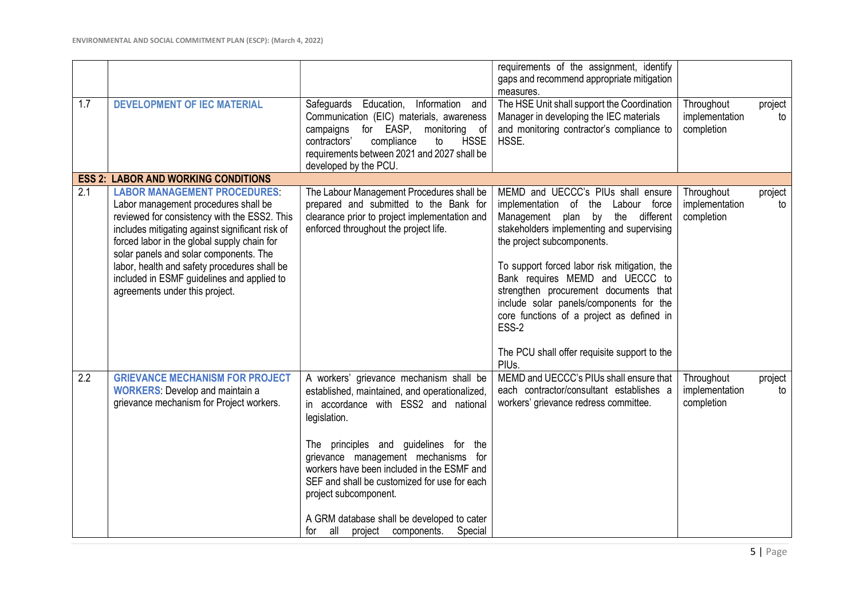|     |                                                                                                                                                                                                                                                                                                                                                                                                        |                                                                                                                                                                                                                                                                                                                                                                                                                                                       | requirements of the assignment, identify<br>gaps and recommend appropriate mitigation<br>measures.                                                                                                                                                                                                                                                                                                                                                                                     |                                            |               |
|-----|--------------------------------------------------------------------------------------------------------------------------------------------------------------------------------------------------------------------------------------------------------------------------------------------------------------------------------------------------------------------------------------------------------|-------------------------------------------------------------------------------------------------------------------------------------------------------------------------------------------------------------------------------------------------------------------------------------------------------------------------------------------------------------------------------------------------------------------------------------------------------|----------------------------------------------------------------------------------------------------------------------------------------------------------------------------------------------------------------------------------------------------------------------------------------------------------------------------------------------------------------------------------------------------------------------------------------------------------------------------------------|--------------------------------------------|---------------|
| 1.7 | <b>DEVELOPMENT OF IEC MATERIAL</b>                                                                                                                                                                                                                                                                                                                                                                     | Safeguards Education,<br>Information and<br>Communication (EIC) materials, awareness<br>monitoring of<br>for EASP,<br>campaigns<br><b>HSSE</b><br>contractors'<br>compliance<br>to<br>requirements between 2021 and 2027 shall be<br>developed by the PCU.                                                                                                                                                                                            | The HSE Unit shall support the Coordination<br>Manager in developing the IEC materials<br>and monitoring contractor's compliance to<br>HSSE.                                                                                                                                                                                                                                                                                                                                           | Throughout<br>implementation<br>completion | project<br>to |
|     | <b>ESS 2: LABOR AND WORKING CONDITIONS</b>                                                                                                                                                                                                                                                                                                                                                             |                                                                                                                                                                                                                                                                                                                                                                                                                                                       |                                                                                                                                                                                                                                                                                                                                                                                                                                                                                        |                                            |               |
| 2.1 | <b>LABOR MANAGEMENT PROCEDURES</b><br>Labor management procedures shall be<br>reviewed for consistency with the ESS2. This<br>includes mitigating against significant risk of<br>forced labor in the global supply chain for<br>solar panels and solar components. The<br>labor, health and safety procedures shall be<br>included in ESMF guidelines and applied to<br>agreements under this project. | The Labour Management Procedures shall be<br>prepared and submitted to the Bank for<br>clearance prior to project implementation and<br>enforced throughout the project life.                                                                                                                                                                                                                                                                         | MEMD and UECCC's PIUs shall ensure<br>implementation of the<br>Labour force<br>Management plan by<br>the<br>different<br>stakeholders implementing and supervising<br>the project subcomponents.<br>To support forced labor risk mitigation, the<br>Bank requires MEMD and UECCC to<br>strengthen procurement documents that<br>include solar panels/components for the<br>core functions of a project as defined in<br>ESS-2<br>The PCU shall offer requisite support to the<br>PIUs. | Throughout<br>implementation<br>completion | project<br>to |
| 2.2 | <b>GRIEVANCE MECHANISM FOR PROJECT</b><br><b>WORKERS:</b> Develop and maintain a<br>grievance mechanism for Project workers.                                                                                                                                                                                                                                                                           | A workers' grievance mechanism shall be<br>established, maintained, and operationalized,<br>in accordance with ESS2 and national<br>legislation.<br>The principles and guidelines for the<br>grievance management mechanisms for<br>workers have been included in the ESMF and<br>SEF and shall be customized for use for each<br>project subcomponent.<br>A GRM database shall be developed to cater<br>project components.<br>all<br>Special<br>for | MEMD and UECCC's PIUs shall ensure that<br>each contractor/consultant establishes a<br>workers' grievance redress committee.                                                                                                                                                                                                                                                                                                                                                           | Throughout<br>implementation<br>completion | project<br>to |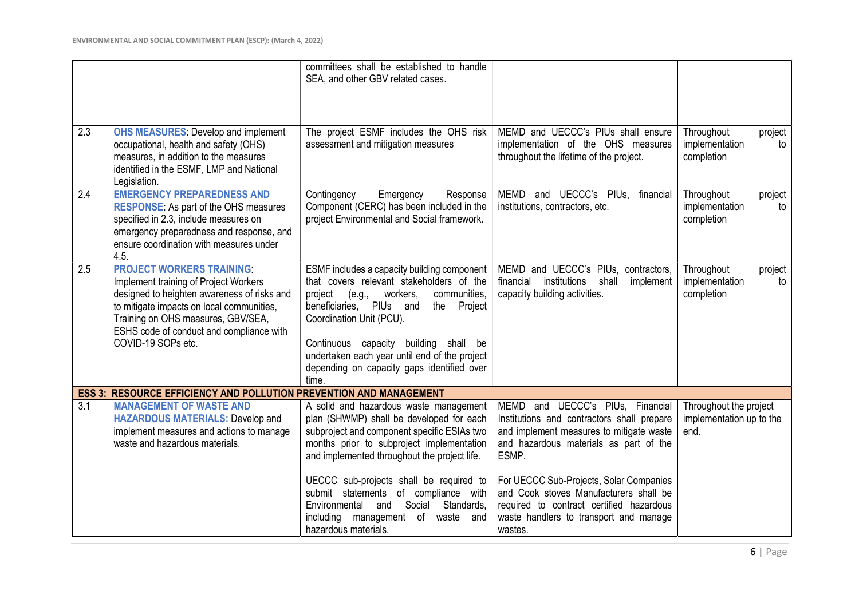|     |                                                                                                                                                                                                                                                                               | committees shall be established to handle<br>SEA, and other GBV related cases.                                                                                                                                                                                                                                                                                     |                                                                                                                                                                                    |                                                             |
|-----|-------------------------------------------------------------------------------------------------------------------------------------------------------------------------------------------------------------------------------------------------------------------------------|--------------------------------------------------------------------------------------------------------------------------------------------------------------------------------------------------------------------------------------------------------------------------------------------------------------------------------------------------------------------|------------------------------------------------------------------------------------------------------------------------------------------------------------------------------------|-------------------------------------------------------------|
| 2.3 | <b>OHS MEASURES: Develop and implement</b><br>occupational, health and safety (OHS)<br>measures, in addition to the measures<br>identified in the ESMF, LMP and National<br>Legislation.                                                                                      | The project ESMF includes the OHS risk<br>assessment and mitigation measures                                                                                                                                                                                                                                                                                       | MEMD and UECCC's PIUs shall ensure<br>implementation of the OHS measures<br>throughout the lifetime of the project.                                                                | Throughout<br>project<br>implementation<br>to<br>completion |
| 2.4 | <b>EMERGENCY PREPAREDNESS AND</b><br><b>RESPONSE:</b> As part of the OHS measures<br>specified in 2.3, include measures on<br>emergency preparedness and response, and<br>ensure coordination with measures under<br>4.5.                                                     | Contingency<br>Emergency<br>Response<br>Component (CERC) has been included in the<br>project Environmental and Social framework.                                                                                                                                                                                                                                   | MEMD and UECCC's PIUs, financial<br>institutions, contractors, etc.                                                                                                                | Throughout<br>project<br>implementation<br>to<br>completion |
| 2.5 | <b>PROJECT WORKERS TRAINING:</b><br>Implement training of Project Workers<br>designed to heighten awareness of risks and<br>to mitigate impacts on local communities,<br>Training on OHS measures, GBV/SEA,<br>ESHS code of conduct and compliance with<br>COVID-19 SOPs etc. | ESMF includes a capacity building component<br>that covers relevant stakeholders of the<br>workers,<br>communities,<br>project<br>(e.g.,<br>beneficiaries, PIUs and<br>the<br>Project<br>Coordination Unit (PCU).<br>Continuous capacity building shall be<br>undertaken each year until end of the project<br>depending on capacity gaps identified over<br>time. | MEMD and UECCC's PIUs, contractors,<br>financial institutions shall<br>implement<br>capacity building activities.                                                                  | Throughout<br>project<br>implementation<br>to<br>completion |
|     | <b>ESS 3: RESOURCE EFFICIENCY AND POLLUTION PREVENTION AND MANAGEMENT</b>                                                                                                                                                                                                     |                                                                                                                                                                                                                                                                                                                                                                    |                                                                                                                                                                                    |                                                             |
| 3.1 | <b>MANAGEMENT OF WASTE AND</b><br><b>HAZARDOUS MATERIALS: Develop and</b><br>implement measures and actions to manage<br>waste and hazardous materials.                                                                                                                       | A solid and hazardous waste management<br>plan (SHWMP) shall be developed for each<br>subproject and component specific ESIAs two<br>months prior to subproject implementation<br>and implemented throughout the project life.                                                                                                                                     | MEMD and UECCC's PIUs, Financial<br>Institutions and contractors shall prepare<br>and implement measures to mitigate waste<br>and hazardous materials as part of the<br>ESMP.      | Throughout the project<br>implementation up to the<br>end.  |
|     |                                                                                                                                                                                                                                                                               | UECCC sub-projects shall be required to<br>submit statements of compliance with<br>Social<br>Standards,<br>Environmental<br>and<br>including management of waste<br>and<br>hazardous materials.                                                                                                                                                                    | For UECCC Sub-Projects, Solar Companies<br>and Cook stoves Manufacturers shall be<br>required to contract certified hazardous<br>waste handlers to transport and manage<br>wastes. |                                                             |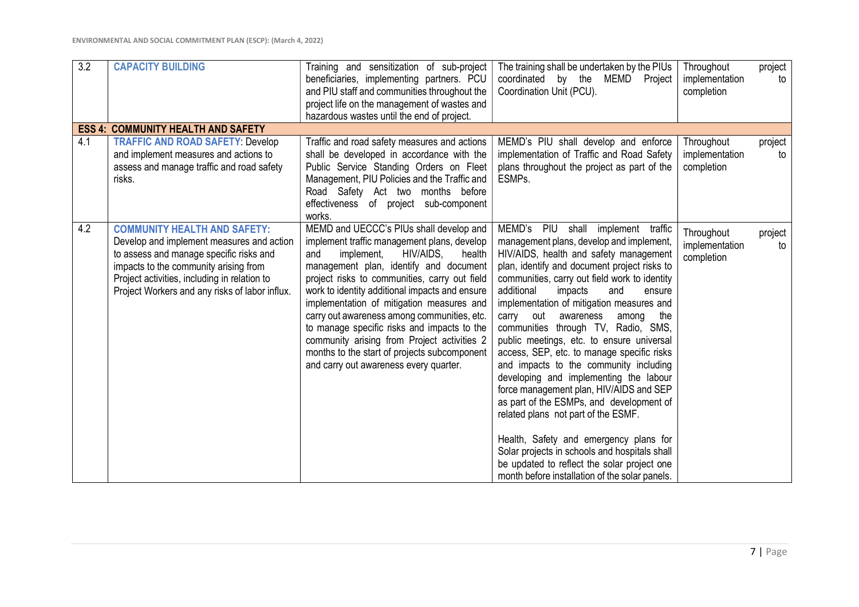| 3.2 | <b>CAPACITY BUILDING</b>                                                                                                                                                                                                                                               | Training and sensitization of sub-project<br>beneficiaries, implementing partners. PCU<br>and PIU staff and communities throughout the<br>project life on the management of wastes and<br>hazardous wastes until the end of project.                                                                                                                                                                                                                                                                                                                                | The training shall be undertaken by the PIUs<br>coordinated by the MEMD Project<br>Coordination Unit (PCU).                                                                                                                                                                                                                                                                                                                                                                                                                                                                                                                                                                                                                                                                                                                                                                                                   | Throughout<br>implementation<br>completion | project<br>to |
|-----|------------------------------------------------------------------------------------------------------------------------------------------------------------------------------------------------------------------------------------------------------------------------|---------------------------------------------------------------------------------------------------------------------------------------------------------------------------------------------------------------------------------------------------------------------------------------------------------------------------------------------------------------------------------------------------------------------------------------------------------------------------------------------------------------------------------------------------------------------|---------------------------------------------------------------------------------------------------------------------------------------------------------------------------------------------------------------------------------------------------------------------------------------------------------------------------------------------------------------------------------------------------------------------------------------------------------------------------------------------------------------------------------------------------------------------------------------------------------------------------------------------------------------------------------------------------------------------------------------------------------------------------------------------------------------------------------------------------------------------------------------------------------------|--------------------------------------------|---------------|
|     | <b>ESS 4: COMMUNITY HEALTH AND SAFETY</b>                                                                                                                                                                                                                              |                                                                                                                                                                                                                                                                                                                                                                                                                                                                                                                                                                     |                                                                                                                                                                                                                                                                                                                                                                                                                                                                                                                                                                                                                                                                                                                                                                                                                                                                                                               |                                            |               |
| 4.1 | <b>TRAFFIC AND ROAD SAFETY: Develop</b><br>and implement measures and actions to<br>assess and manage traffic and road safety<br>risks.                                                                                                                                | Traffic and road safety measures and actions<br>shall be developed in accordance with the<br>Public Service Standing Orders on Fleet<br>Management, PIU Policies and the Traffic and<br>Road Safety Act two months before<br>effectiveness of project sub-component<br>works.                                                                                                                                                                                                                                                                                       | MEMD's PIU shall develop and enforce<br>implementation of Traffic and Road Safety<br>plans throughout the project as part of the<br>ESMP <sub>s</sub> .                                                                                                                                                                                                                                                                                                                                                                                                                                                                                                                                                                                                                                                                                                                                                       | Throughout<br>implementation<br>completion | project<br>to |
| 4.2 | <b>COMMUNITY HEALTH AND SAFETY:</b><br>Develop and implement measures and action<br>to assess and manage specific risks and<br>impacts to the community arising from<br>Project activities, including in relation to<br>Project Workers and any risks of labor influx. | MEMD and UECCC's PIUs shall develop and<br>implement traffic management plans, develop<br>HIV/AIDS,<br>implement,<br>and<br>health<br>management plan, identify and document<br>project risks to communities, carry out field<br>work to identity additional impacts and ensure<br>implementation of mitigation measures and<br>carry out awareness among communities, etc.<br>to manage specific risks and impacts to the<br>community arising from Project activities 2<br>months to the start of projects subcomponent<br>and carry out awareness every quarter. | MEMD's<br>PIU shall implement traffic<br>management plans, develop and implement,<br>HIV/AIDS, health and safety management<br>plan, identify and document project risks to<br>communities, carry out field work to identity<br>additional<br>impacts<br>and<br>ensure<br>implementation of mitigation measures and<br>carry out<br>awareness<br>among<br>the<br>communities through TV, Radio, SMS,<br>public meetings, etc. to ensure universal<br>access, SEP, etc. to manage specific risks<br>and impacts to the community including<br>developing and implementing the labour<br>force management plan, HIV/AIDS and SEP<br>as part of the ESMPs, and development of<br>related plans not part of the ESMF.<br>Health, Safety and emergency plans for<br>Solar projects in schools and hospitals shall<br>be updated to reflect the solar project one<br>month before installation of the solar panels. | Throughout<br>implementation<br>completion | project<br>to |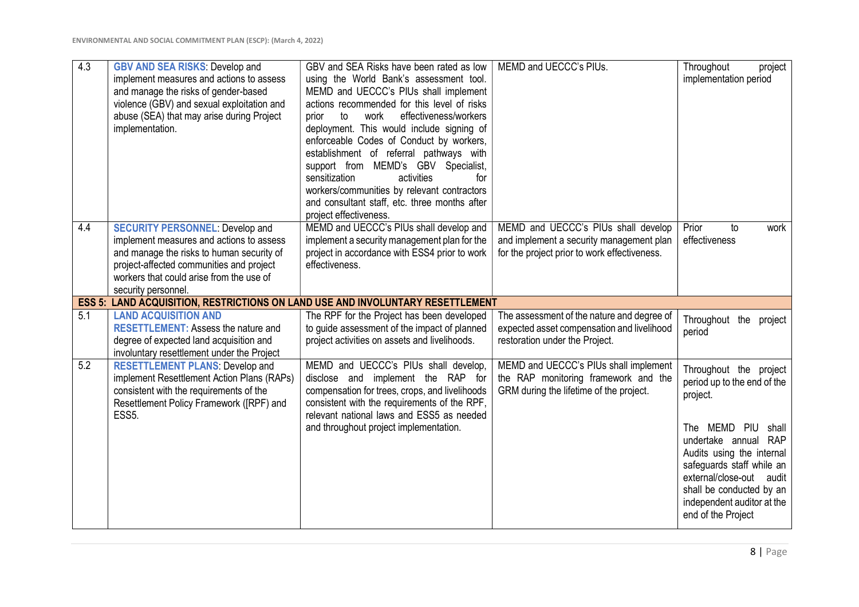| 4.3 | <b>GBV AND SEA RISKS: Develop and</b><br>implement measures and actions to assess<br>and manage the risks of gender-based<br>violence (GBV) and sexual exploitation and<br>abuse (SEA) that may arise during Project<br>implementation.        | GBV and SEA Risks have been rated as low<br>using the World Bank's assessment tool.<br>MEMD and UECCC's PIUs shall implement<br>actions recommended for this level of risks<br>effectiveness/workers<br>to<br>work<br>prior<br>deployment. This would include signing of<br>enforceable Codes of Conduct by workers,<br>establishment of referral pathways with<br>support from MEMD's GBV Specialist,<br>sensitization<br>activities<br>for<br>workers/communities by relevant contractors<br>and consultant staff, etc. three months after<br>project effectiveness. | MEMD and UECCC's PIUs.                                                                                                          | Throughout<br>project<br>implementation period                                                                                                                                                                                                                                        |
|-----|------------------------------------------------------------------------------------------------------------------------------------------------------------------------------------------------------------------------------------------------|------------------------------------------------------------------------------------------------------------------------------------------------------------------------------------------------------------------------------------------------------------------------------------------------------------------------------------------------------------------------------------------------------------------------------------------------------------------------------------------------------------------------------------------------------------------------|---------------------------------------------------------------------------------------------------------------------------------|---------------------------------------------------------------------------------------------------------------------------------------------------------------------------------------------------------------------------------------------------------------------------------------|
| 4.4 | <b>SECURITY PERSONNEL: Develop and</b><br>implement measures and actions to assess<br>and manage the risks to human security of<br>project-affected communities and project<br>workers that could arise from the use of<br>security personnel. | MEMD and UECCC's PIUs shall develop and<br>implement a security management plan for the<br>project in accordance with ESS4 prior to work<br>effectiveness.                                                                                                                                                                                                                                                                                                                                                                                                             | MEMD and UECCC's PIUs shall develop<br>and implement a security management plan<br>for the project prior to work effectiveness. | Prior<br>to<br>work<br>effectiveness                                                                                                                                                                                                                                                  |
|     | <b>ESS 5: LAND ACQUISITION, RESTRICTIONS ON LAND USE AND INVOLUNTARY RESETTLEMENT</b>                                                                                                                                                          |                                                                                                                                                                                                                                                                                                                                                                                                                                                                                                                                                                        |                                                                                                                                 |                                                                                                                                                                                                                                                                                       |
| 5.1 | <b>LAND ACQUISITION AND</b><br><b>RESETTLEMENT: Assess the nature and</b><br>degree of expected land acquisition and<br>involuntary resettlement under the Project                                                                             | The RPF for the Project has been developed<br>to guide assessment of the impact of planned<br>project activities on assets and livelihoods.                                                                                                                                                                                                                                                                                                                                                                                                                            | The assessment of the nature and degree of<br>expected asset compensation and livelihood<br>restoration under the Project.      | Throughout the project<br>period                                                                                                                                                                                                                                                      |
| 5.2 | <b>RESETTLEMENT PLANS: Develop and</b><br>implement Resettlement Action Plans (RAPs)<br>consistent with the requirements of the<br>Resettlement Policy Framework ([RPF) and<br>ESS <sub>5</sub> .                                              | MEMD and UECCC's PIUs shall develop,<br>disclose and implement the RAP for<br>compensation for trees, crops, and livelihoods<br>consistent with the requirements of the RPF,<br>relevant national laws and ESS5 as needed<br>and throughout project implementation.                                                                                                                                                                                                                                                                                                    | MEMD and UECCC's PIUs shall implement<br>the RAP monitoring framework and the<br>GRM during the lifetime of the project.        | Throughout the project<br>period up to the end of the<br>project.<br>The MEMD PIU shall<br>undertake annual RAP<br>Audits using the internal<br>safeguards staff while an<br>external/close-out audit<br>shall be conducted by an<br>independent auditor at the<br>end of the Project |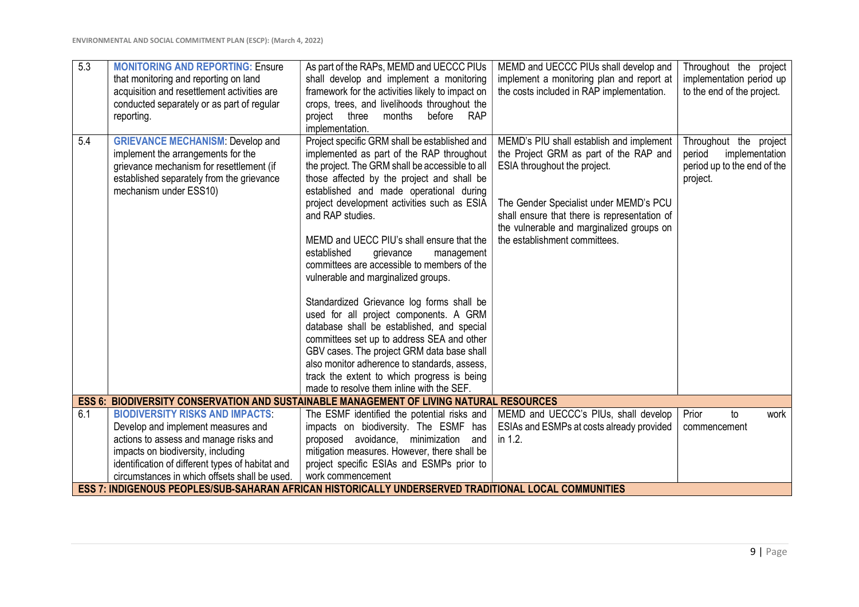| $\overline{5.3}$ | <b>MONITORING AND REPORTING: Ensure</b><br>that monitoring and reporting on land<br>acquisition and resettlement activities are<br>conducted separately or as part of regular<br>reporting.      | As part of the RAPs, MEMD and UECCC PIUs<br>shall develop and implement a monitoring<br>framework for the activities likely to impact on<br>crops, trees, and livelihoods throughout the<br>months<br>before<br><b>RAP</b><br>project<br>three<br>implementation.                                                                                                                                                                                                                                                                                                                                                                                                                                                                                                                                                                                                   | MEMD and UECCC PIUs shall develop and<br>implement a monitoring plan and report at<br>the costs included in RAP implementation.                                                                                                                                                            | Throughout the project<br>implementation period up<br>to the end of the project.              |
|------------------|--------------------------------------------------------------------------------------------------------------------------------------------------------------------------------------------------|---------------------------------------------------------------------------------------------------------------------------------------------------------------------------------------------------------------------------------------------------------------------------------------------------------------------------------------------------------------------------------------------------------------------------------------------------------------------------------------------------------------------------------------------------------------------------------------------------------------------------------------------------------------------------------------------------------------------------------------------------------------------------------------------------------------------------------------------------------------------|--------------------------------------------------------------------------------------------------------------------------------------------------------------------------------------------------------------------------------------------------------------------------------------------|-----------------------------------------------------------------------------------------------|
| 5.4              | <b>GRIEVANCE MECHANISM: Develop and</b><br>implement the arrangements for the<br>grievance mechanism for resettlement (if<br>established separately from the grievance<br>mechanism under ESS10) | Project specific GRM shall be established and<br>implemented as part of the RAP throughout<br>the project. The GRM shall be accessible to all<br>those affected by the project and shall be<br>established and made operational during<br>project development activities such as ESIA<br>and RAP studies.<br>MEMD and UECC PIU's shall ensure that the<br>established<br>grievance<br>management<br>committees are accessible to members of the<br>vulnerable and marginalized groups.<br>Standardized Grievance log forms shall be<br>used for all project components. A GRM<br>database shall be established, and special<br>committees set up to address SEA and other<br>GBV cases. The project GRM data base shall<br>also monitor adherence to standards, assess,<br>track the extent to which progress is being<br>made to resolve them inline with the SEF. | MEMD's PIU shall establish and implement<br>the Project GRM as part of the RAP and<br>ESIA throughout the project.<br>The Gender Specialist under MEMD's PCU<br>shall ensure that there is representation of<br>the vulnerable and marginalized groups on<br>the establishment committees. | Throughout the project<br>implementation<br>period<br>period up to the end of the<br>project. |
|                  | <b>ESS 6: BIODIVERSITY CONSERVATION AND SUSTAINABLE MANAGEMENT OF LIVING NATURAL RESOURCES</b>                                                                                                   |                                                                                                                                                                                                                                                                                                                                                                                                                                                                                                                                                                                                                                                                                                                                                                                                                                                                     |                                                                                                                                                                                                                                                                                            |                                                                                               |
| 6.1              | <b>BIODIVERSITY RISKS AND IMPACTS:</b>                                                                                                                                                           | The ESMF identified the potential risks and                                                                                                                                                                                                                                                                                                                                                                                                                                                                                                                                                                                                                                                                                                                                                                                                                         | MEMD and UECCC's PIUs, shall develop                                                                                                                                                                                                                                                       | Prior<br>to<br>work                                                                           |
|                  | Develop and implement measures and<br>actions to assess and manage risks and                                                                                                                     | impacts on biodiversity. The ESMF has<br>proposed avoidance, minimization and                                                                                                                                                                                                                                                                                                                                                                                                                                                                                                                                                                                                                                                                                                                                                                                       | ESIAs and ESMPs at costs already provided<br>in 1.2.                                                                                                                                                                                                                                       | commencement                                                                                  |
|                  | impacts on biodiversity, including                                                                                                                                                               | mitigation measures. However, there shall be                                                                                                                                                                                                                                                                                                                                                                                                                                                                                                                                                                                                                                                                                                                                                                                                                        |                                                                                                                                                                                                                                                                                            |                                                                                               |
|                  | identification of different types of habitat and                                                                                                                                                 | project specific ESIAs and ESMPs prior to                                                                                                                                                                                                                                                                                                                                                                                                                                                                                                                                                                                                                                                                                                                                                                                                                           |                                                                                                                                                                                                                                                                                            |                                                                                               |
|                  | circumstances in which offsets shall be used.                                                                                                                                                    | work commencement                                                                                                                                                                                                                                                                                                                                                                                                                                                                                                                                                                                                                                                                                                                                                                                                                                                   |                                                                                                                                                                                                                                                                                            |                                                                                               |
|                  | ESS 7: INDIGENOUS PEOPLES/SUB-SAHARAN AFRICAN HISTORICALLY UNDERSERVED TRADITIONAL LOCAL COMMUNITIES                                                                                             |                                                                                                                                                                                                                                                                                                                                                                                                                                                                                                                                                                                                                                                                                                                                                                                                                                                                     |                                                                                                                                                                                                                                                                                            |                                                                                               |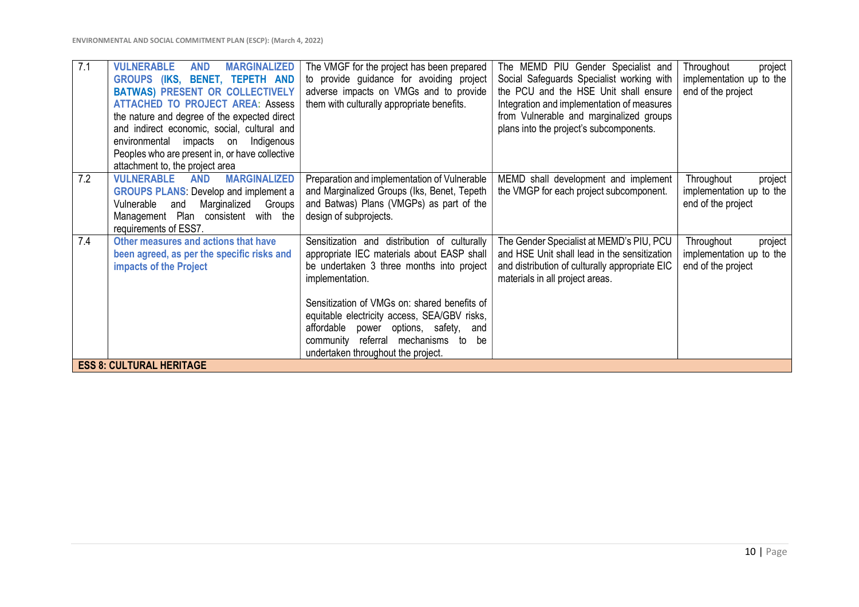| 7.1<br><b>VULNERABLE</b><br><b>AND</b><br><b>MARGINALIZED</b><br>GROUPS (IKS, BENET, TEPETH AND<br><b>BATWAS) PRESENT OR COLLECTIVELY</b><br><b>ATTACHED TO PROJECT AREA: Assess</b><br>the nature and degree of the expected direct<br>and indirect economic, social, cultural and<br>environmental impacts on<br>Indigenous<br>Peoples who are present in, or have collective | The VMGF for the project has been prepared<br>to provide guidance for avoiding project<br>adverse impacts on VMGs and to provide<br>them with culturally appropriate benefits.                                                                                                                                                                                                         | The MEMD PIU Gender Specialist and<br>Social Safeguards Specialist working with<br>the PCU and the HSE Unit shall ensure<br>Integration and implementation of measures<br>from Vulnerable and marginalized groups<br>plans into the project's subcomponents. | Throughout<br>project<br>implementation up to the<br>end of the project |
|---------------------------------------------------------------------------------------------------------------------------------------------------------------------------------------------------------------------------------------------------------------------------------------------------------------------------------------------------------------------------------|----------------------------------------------------------------------------------------------------------------------------------------------------------------------------------------------------------------------------------------------------------------------------------------------------------------------------------------------------------------------------------------|--------------------------------------------------------------------------------------------------------------------------------------------------------------------------------------------------------------------------------------------------------------|-------------------------------------------------------------------------|
| attachment to, the project area<br>7.2<br><b>VULNERABLE</b><br><b>MARGINALIZED</b><br><b>AND</b><br><b>GROUPS PLANS:</b> Develop and implement a<br>Vulnerable<br>Marginalized<br>and<br>Groups<br>Management Plan consistent with the<br>requirements of ESS7.                                                                                                                 | Preparation and implementation of Vulnerable<br>and Marginalized Groups (Iks, Benet, Tepeth<br>and Batwas) Plans (VMGPs) as part of the<br>design of subprojects.                                                                                                                                                                                                                      | MEMD shall development and implement<br>the VMGP for each project subcomponent.                                                                                                                                                                              | Throughout<br>project<br>implementation up to the<br>end of the project |
| 7.4<br>Other measures and actions that have<br>been agreed, as per the specific risks and<br>impacts of the Project                                                                                                                                                                                                                                                             | Sensitization and distribution of culturally<br>appropriate IEC materials about EASP shall<br>be undertaken 3 three months into project<br>implementation.<br>Sensitization of VMGs on: shared benefits of<br>equitable electricity access, SEA/GBV risks,<br>affordable power options, safety,<br>and<br>community referral mechanisms to<br>be<br>undertaken throughout the project. | The Gender Specialist at MEMD's PIU, PCU<br>and HSE Unit shall lead in the sensitization<br>and distribution of culturally appropriate EIC<br>materials in all project areas.                                                                                | Throughout<br>project<br>implementation up to the<br>end of the project |
| <b>ESS 8: CULTURAL HERITAGE</b>                                                                                                                                                                                                                                                                                                                                                 |                                                                                                                                                                                                                                                                                                                                                                                        |                                                                                                                                                                                                                                                              |                                                                         |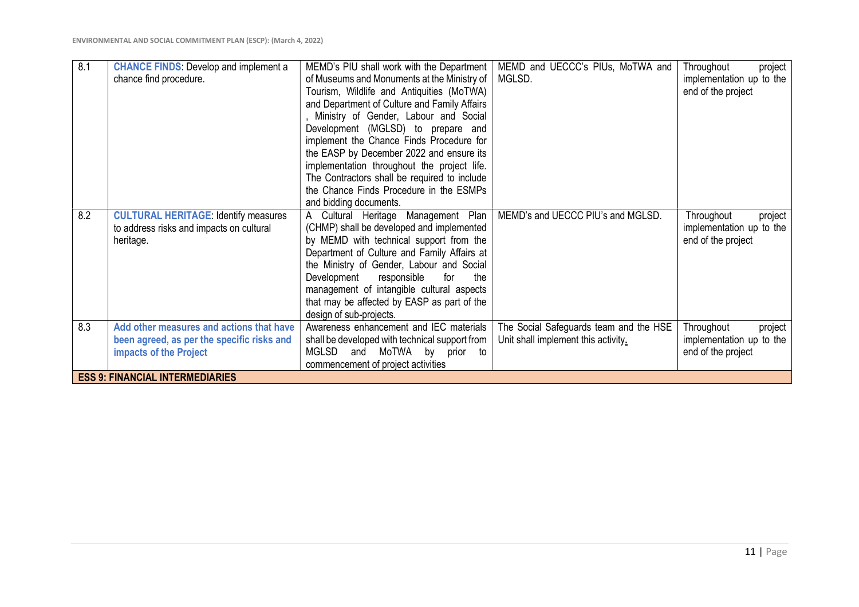| $\overline{8.1}$ | <b>CHANCE FINDS:</b> Develop and implement a | MEMD's PIU shall work with the Department      | MEMD and UECCC's PIUs, MoTWA and       | Throughout<br>project    |
|------------------|----------------------------------------------|------------------------------------------------|----------------------------------------|--------------------------|
|                  | chance find procedure.                       | of Museums and Monuments at the Ministry of    | MGLSD.                                 | implementation up to the |
|                  |                                              | Tourism, Wildlife and Antiquities (MoTWA)      |                                        | end of the project       |
|                  |                                              | and Department of Culture and Family Affairs   |                                        |                          |
|                  |                                              | Ministry of Gender, Labour and Social          |                                        |                          |
|                  |                                              | Development (MGLSD) to prepare and             |                                        |                          |
|                  |                                              | implement the Chance Finds Procedure for       |                                        |                          |
|                  |                                              | the EASP by December 2022 and ensure its       |                                        |                          |
|                  |                                              | implementation throughout the project life.    |                                        |                          |
|                  |                                              | The Contractors shall be required to include   |                                        |                          |
|                  |                                              | the Chance Finds Procedure in the ESMPs        |                                        |                          |
|                  |                                              | and bidding documents.                         |                                        |                          |
| 8.2              | <b>CULTURAL HERITAGE: Identify measures</b>  | A Cultural Heritage Management Plan            | MEMD's and UECCC PIU's and MGLSD.      | Throughout<br>project    |
|                  | to address risks and impacts on cultural     | (CHMP) shall be developed and implemented      |                                        | implementation up to the |
|                  | heritage.                                    | by MEMD with technical support from the        |                                        | end of the project       |
|                  |                                              | Department of Culture and Family Affairs at    |                                        |                          |
|                  |                                              | the Ministry of Gender, Labour and Social      |                                        |                          |
|                  |                                              | Development<br>responsible<br>for<br>the       |                                        |                          |
|                  |                                              | management of intangible cultural aspects      |                                        |                          |
|                  |                                              | that may be affected by EASP as part of the    |                                        |                          |
|                  |                                              | design of sub-projects.                        |                                        |                          |
| 8.3              | Add other measures and actions that have     | Awareness enhancement and IEC materials        | The Social Safeguards team and the HSE | Throughout<br>project    |
|                  | been agreed, as per the specific risks and   | shall be developed with technical support from | Unit shall implement this activity.    | implementation up to the |
|                  | impacts of the Project                       | MGLSD<br>and<br>MoTWA by prior<br>to           |                                        | end of the project       |
|                  |                                              | commencement of project activities             |                                        |                          |
|                  | <b>ESS 9: FINANCIAL INTERMEDIARIES</b>       |                                                |                                        |                          |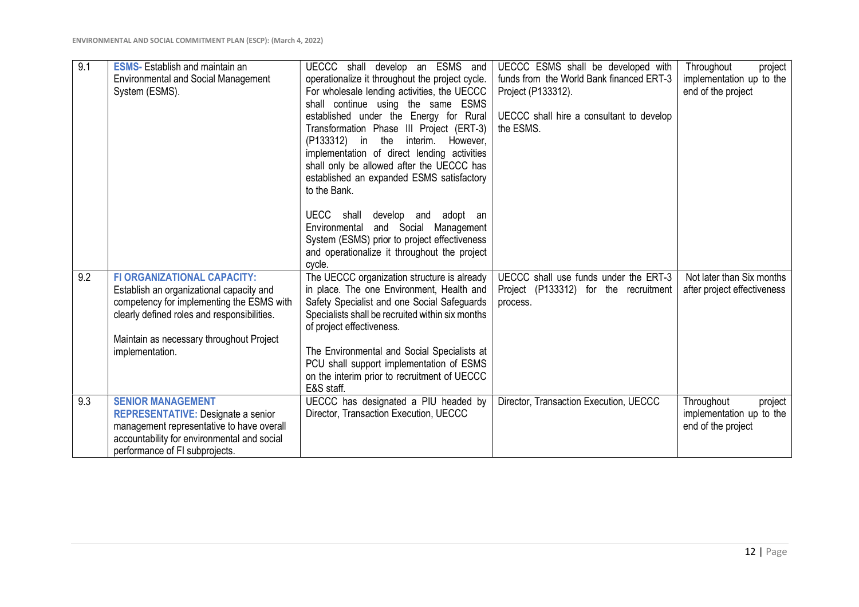| 9.1 | <b>ESMS-</b> Establish and maintain an      | UECCC shall develop an ESMS and                            | UECCC ESMS shall be developed with       | Throughout<br>project               |
|-----|---------------------------------------------|------------------------------------------------------------|------------------------------------------|-------------------------------------|
|     | <b>Environmental and Social Management</b>  | operationalize it throughout the project cycle.            | funds from the World Bank financed ERT-3 | implementation up to the            |
|     | System (ESMS).                              | For wholesale lending activities, the UECCC                | Project (P133312).                       | end of the project                  |
|     |                                             | shall continue using the same ESMS                         |                                          |                                     |
|     |                                             | established under the Energy for Rural                     | UECCC shall hire a consultant to develop |                                     |
|     |                                             | Transformation Phase III Project (ERT-3)                   | the ESMS.                                |                                     |
|     |                                             |                                                            |                                          |                                     |
|     |                                             | (P133312) in the interim. However,                         |                                          |                                     |
|     |                                             | implementation of direct lending activities                |                                          |                                     |
|     |                                             | shall only be allowed after the UECCC has                  |                                          |                                     |
|     |                                             | established an expanded ESMS satisfactory                  |                                          |                                     |
|     |                                             | to the Bank.                                               |                                          |                                     |
|     |                                             |                                                            |                                          |                                     |
|     |                                             | UECC shall develop and adopt an                            |                                          |                                     |
|     |                                             | Environmental and Social<br>Management                     |                                          |                                     |
|     |                                             | System (ESMS) prior to project effectiveness               |                                          |                                     |
|     |                                             | and operationalize it throughout the project               |                                          |                                     |
|     | <b>FI ORGANIZATIONAL CAPACITY:</b>          | cycle.                                                     |                                          | Not later than Six months           |
| 9.2 |                                             | The UECCC organization structure is already                | UECCC shall use funds under the ERT-3    |                                     |
|     | Establish an organizational capacity and    | in place. The one Environment, Health and                  | Project (P133312) for the recruitment    | after project effectiveness         |
|     | competency for implementing the ESMS with   | Safety Specialist and one Social Safeguards                | process.                                 |                                     |
|     | clearly defined roles and responsibilities. | Specialists shall be recruited within six months           |                                          |                                     |
|     |                                             | of project effectiveness.                                  |                                          |                                     |
|     | Maintain as necessary throughout Project    |                                                            |                                          |                                     |
|     | implementation.                             | The Environmental and Social Specialists at                |                                          |                                     |
|     |                                             | PCU shall support implementation of ESMS                   |                                          |                                     |
|     |                                             | on the interim prior to recruitment of UECCC<br>E&S staff. |                                          |                                     |
| 9.3 | <b>SENIOR MANAGEMENT</b>                    | UECCC has designated a PIU headed by                       | Director, Transaction Execution, UECCC   | Throughout                          |
|     | <b>REPRESENTATIVE: Designate a senior</b>   | Director, Transaction Execution, UECCC                     |                                          | project<br>implementation up to the |
|     |                                             |                                                            |                                          | end of the project                  |
|     | management representative to have overall   |                                                            |                                          |                                     |
|     | accountability for environmental and social |                                                            |                                          |                                     |
|     | performance of FI subprojects.              |                                                            |                                          |                                     |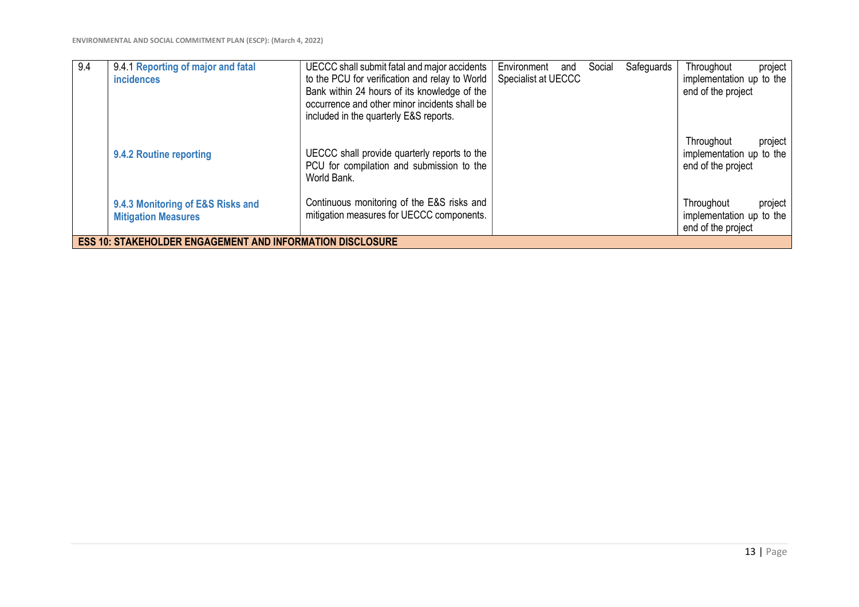| 9.4 | 9.4.1 Reporting of major and fatal<br><b>incidences</b>          | UECCC shall submit fatal and major accidents<br>to the PCU for verification and relay to World<br>Bank within 24 hours of its knowledge of the<br>occurrence and other minor incidents shall be<br>included in the quarterly E&S reports. | Environment<br>and<br>Specialist at UECCC | Safeguards<br>Social | Throughout<br>project<br>implementation up to the<br>end of the project |
|-----|------------------------------------------------------------------|-------------------------------------------------------------------------------------------------------------------------------------------------------------------------------------------------------------------------------------------|-------------------------------------------|----------------------|-------------------------------------------------------------------------|
|     | 9.4.2 Routine reporting                                          | UECCC shall provide quarterly reports to the<br>PCU for compilation and submission to the<br>World Bank.                                                                                                                                  |                                           |                      | Throughout<br>project<br>implementation up to the<br>end of the project |
|     | 9.4.3 Monitoring of E&S Risks and<br><b>Mitigation Measures</b>  | Continuous monitoring of the E&S risks and<br>mitigation measures for UECCC components.                                                                                                                                                   |                                           |                      | Throughout<br>project<br>implementation up to the<br>end of the project |
|     | <b>ESS 10: STAKEHOLDER ENGAGEMENT AND INFORMATION DISCLOSURE</b> |                                                                                                                                                                                                                                           |                                           |                      |                                                                         |